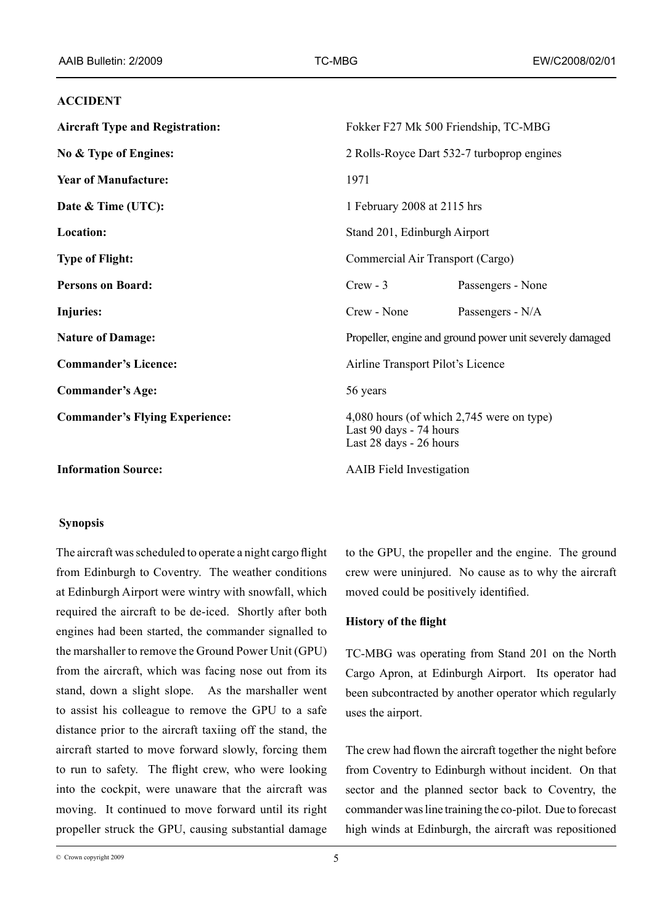## **ACCIDENT**

| <b>Aircraft Type and Registration:</b> | Fokker F27 Mk 500 Friendship, TC-MBG                                                            |                   |
|----------------------------------------|-------------------------------------------------------------------------------------------------|-------------------|
| No & Type of Engines:                  | 2 Rolls-Royce Dart 532-7 turboprop engines                                                      |                   |
| <b>Year of Manufacture:</b>            | 1971                                                                                            |                   |
| Date & Time (UTC):                     | 1 February 2008 at 2115 hrs                                                                     |                   |
| Location:                              | Stand 201, Edinburgh Airport                                                                    |                   |
| <b>Type of Flight:</b>                 | Commercial Air Transport (Cargo)                                                                |                   |
| <b>Persons on Board:</b>               | $Crew - 3$                                                                                      | Passengers - None |
| Injuries:                              | Crew - None                                                                                     | Passengers - N/A  |
| <b>Nature of Damage:</b>               | Propeller, engine and ground power unit severely damaged                                        |                   |
| <b>Commander's Licence:</b>            | Airline Transport Pilot's Licence                                                               |                   |
| <b>Commander's Age:</b>                | 56 years                                                                                        |                   |
| <b>Commander's Flying Experience:</b>  | 4,080 hours (of which 2,745 were on type)<br>Last 90 days - 74 hours<br>Last 28 days - 26 hours |                   |
| <b>Information Source:</b>             | <b>AAIB</b> Field Investigation                                                                 |                   |

## **Synopsis**

The aircraft was scheduled to operate a night cargo flight from Edinburgh to Coventry. The weather conditions at Edinburgh Airport were wintry with snowfall, which required the aircraft to be de-iced. Shortly after both engines had been started, the commander signalled to the marshaller to remove the Ground Power Unit (GPU) from the aircraft, which was facing nose out from its stand, down a slight slope. As the marshaller went to assist his colleague to remove the GPU to a safe distance prior to the aircraft taxiing off the stand, the aircraft started to move forward slowly, forcing them to run to safety. The flight crew, who were looking into the cockpit, were unaware that the aircraft was moving. It continued to move forward until its right propeller struck the GPU, causing substantial damage

to the GPU, the propeller and the engine. The ground crew were uninjured. No cause as to why the aircraft moved could be positively identified.

# **History of the flight**

TC-MBG was operating from Stand 201 on the North Cargo Apron, at Edinburgh Airport. Its operator had been subcontracted by another operator which regularly uses the airport.

The crew had flown the aircraft together the night before from Coventry to Edinburgh without incident. On that sector and the planned sector back to Coventry, the commander was line training the co-pilot. Due to forecast high winds at Edinburgh, the aircraft was repositioned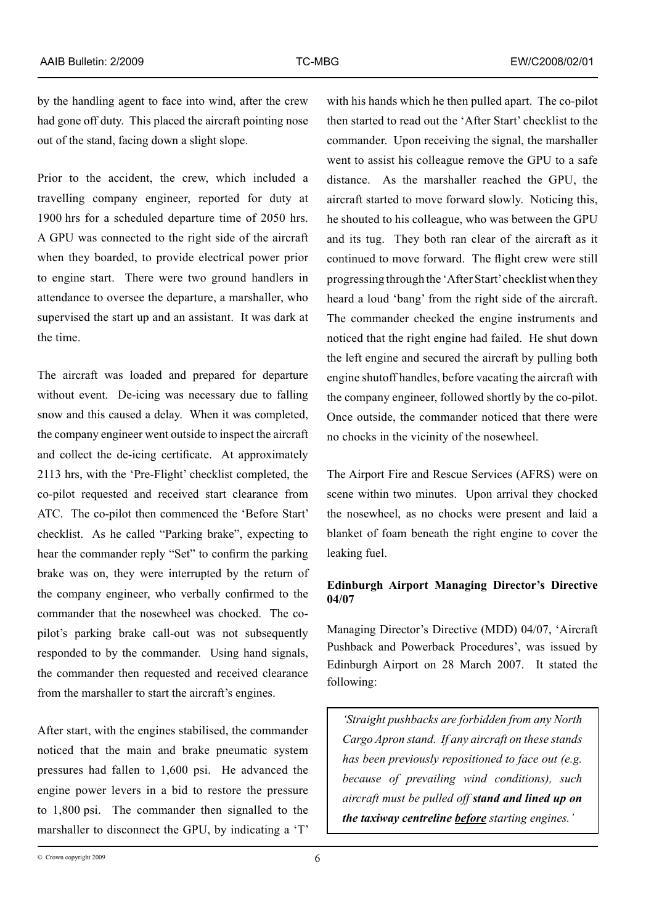by the handling agent to face into wind, after the crew had gone off duty. This placed the aircraft pointing nose out of the stand, facing down a slight slope.

Prior to the accident, the crew, which included a travelling company engineer, reported for duty at 1900 hrs for a scheduled departure time of 2050 hrs. A GPU was connected to the right side of the aircraft when they boarded, to provide electrical power prior to engine start. There were two ground handlers in attendance to oversee the departure, a marshaller, who supervised the start up and an assistant. It was dark at the time.

The aircraft was loaded and prepared for departure without event. De-icing was necessary due to falling snow and this caused a delay. When it was completed, the company engineer went outside to inspect the aircraft and collect the de-icing certificate. At approximately 2113 hrs, with the 'Pre-Flight' checklist completed, the co-pilot requested and received start clearance from ATC. The co-pilot then commenced the 'Before Start' checklist. As he called "Parking brake", expecting to hear the commander reply "Set" to confirm the parking brake was on, they were interrupted by the return of the company engineer, who verbally confirmed to the commander that the nosewheel was chocked. The copilot's parking brake call-out was not subsequently responded to by the commander. Using hand signals, the commander then requested and received clearance from the marshaller to start the aircraft's engines.

After start, with the engines stabilised, the commander noticed that the main and brake pneumatic system pressures had fallen to 1,600 psi. He advanced the engine power levers in a bid to restore the pressure to 1,800 psi. The commander then signalled to the marshaller to disconnect the GPU, by indicating a 'T'

with his hands which he then pulled apart. The co-pilot then started to read out the 'After Start' checklist to the commander. Upon receiving the signal, the marshaller went to assist his colleague remove the GPU to a safe distance. As the marshaller reached the GPU, the aircraft started to move forward slowly. Noticing this, he shouted to his colleague, who was between the GPU and its tug. They both ran clear of the aircraft as it continued to move forward. The flight crew were still progressing through the 'After Start' checklist when they heard a loud 'bang' from the right side of the aircraft. The commander checked the engine instruments and noticed that the right engine had failed. He shut down the left engine and secured the aircraft by pulling both engine shutoff handles, before vacating the aircraft with the company engineer, followed shortly by the co-pilot. Once outside, the commander noticed that there were no chocks in the vicinity of the nosewheel.

The Airport Fire and Rescue Services (AFRS) were on scene within two minutes. Upon arrival they chocked the nosewheel, as no chocks were present and laid a blanket of foam beneath the right engine to cover the leaking fuel.

# **Edinburgh Airport Managing Director's Directive 04/07**

Managing Director's Directive (MDD) 04/07, 'Aircraft Pushback and Powerback Procedures', was issued by Edinburgh Airport on 28 March 2007. It stated the following:

*'Straight pushbacks are forbidden from any North Cargo Apron stand. If any aircraft on these stands has been previously repositioned to face out (e.g. because of prevailing wind conditions), such aircraft must be pulled off stand and lined up on the taxiway centreline before starting engines.'*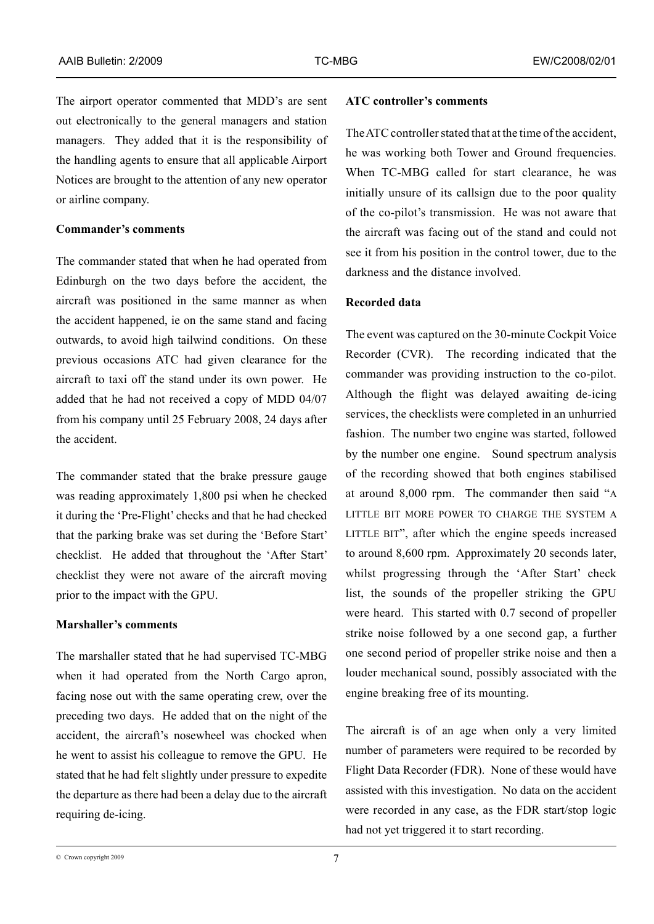The airport operator commented that MDD's are sent out electronically to the general managers and station managers. They added that it is the responsibility of the handling agents to ensure that all applicable Airport Notices are brought to the attention of any new operator or airline company.

## **Commander's comments**

The commander stated that when he had operated from Edinburgh on the two days before the accident, the aircraft was positioned in the same manner as when the accident happened, ie on the same stand and facing outwards, to avoid high tailwind conditions. On these previous occasions ATC had given clearance for the aircraft to taxi off the stand under its own power. He added that he had not received a copy of MDD 04/07 from his company until 25 February 2008, 24 days after the accident.

The commander stated that the brake pressure gauge was reading approximately 1,800 psi when he checked it during the 'Pre-Flight' checks and that he had checked that the parking brake was set during the 'Before Start' checklist. He added that throughout the 'After Start' checklist they were not aware of the aircraft moving prior to the impact with the GPU.

## **Marshaller's comments**

The marshaller stated that he had supervised TC-MBG when it had operated from the North Cargo apron, facing nose out with the same operating crew, over the preceding two days. He added that on the night of the accident, the aircraft's nosewheel was chocked when he went to assist his colleague to remove the GPU. He stated that he had felt slightly under pressure to expedite the departure as there had been a delay due to the aircraft requiring de-icing.

### **ATC controller's comments**

The ATC controller stated that at the time of the accident, he was working both Tower and Ground frequencies. When TC-MBG called for start clearance, he was initially unsure of its callsign due to the poor quality of the co-pilot's transmission. He was not aware that the aircraft was facing out of the stand and could not see it from his position in the control tower, due to the darkness and the distance involved.

### **Recorded data**

The event was captured on the 30-minute Cockpit Voice Recorder (CVR). The recording indicated that the commander was providing instruction to the co-pilot. Although the flight was delayed awaiting de-icing services, the checklists were completed in an unhurried fashion. The number two engine was started, followed by the number one engine. Sound spectrum analysis of the recording showed that both engines stabilised at around 8,000 rpm. The commander then said "A LITTLE BIT MORE POWER TO CHARGE THE SYSTEM A LITTLE BIT", after which the engine speeds increased to around 8,600 rpm. Approximately 20 seconds later, whilst progressing through the 'After Start' check list, the sounds of the propeller striking the GPU were heard. This started with 0.7 second of propeller strike noise followed by a one second gap, a further one second period of propeller strike noise and then a louder mechanical sound, possibly associated with the engine breaking free of its mounting.

The aircraft is of an age when only a very limited number of parameters were required to be recorded by Flight Data Recorder (FDR). None of these would have assisted with this investigation. No data on the accident were recorded in any case, as the FDR start/stop logic had not yet triggered it to start recording.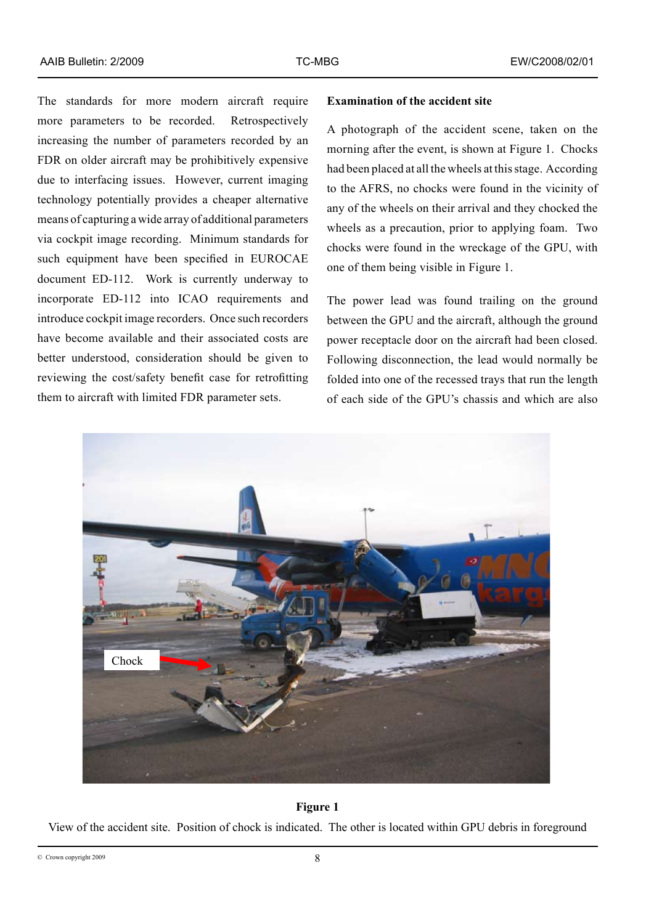The standards for more modern aircraft require more parameters to be recorded. Retrospectively increasing the number of parameters recorded by an FDR on older aircraft may be prohibitively expensive due to interfacing issues. However, current imaging technology potentially provides a cheaper alternative means of capturing a wide array of additional parameters via cockpit image recording. Minimum standards for such equipment have been specified in EUROCAE document ED-112. Work is currently underway to incorporate ED-112 into ICAO requirements and introduce cockpit image recorders. Once such recorders have become available and their associated costs are better understood, consideration should be given to reviewing the cost/safety benefit case for retrofitting them to aircraft with limited FDR parameter sets.

### **Examination of the accident site**

A photograph of the accident scene, taken on the morning after the event, is shown at Figure 1. Chocks had been placed at all the wheels at this stage. According to the AFRS, no chocks were found in the vicinity of any of the wheels on their arrival and they chocked the wheels as a precaution, prior to applying foam. Two chocks were found in the wreckage of the GPU, with one of them being visible in Figure 1.

The power lead was found trailing on the ground between the GPU and the aircraft, although the ground power receptacle door on the aircraft had been closed. Following disconnection, the lead would normally be folded into one of the recessed trays that run the length of each side of the GPU's chassis and which are also



#### **Figure 1**

View of the accident site. Position of chock is indicated. The other is located within GPU debris in foreground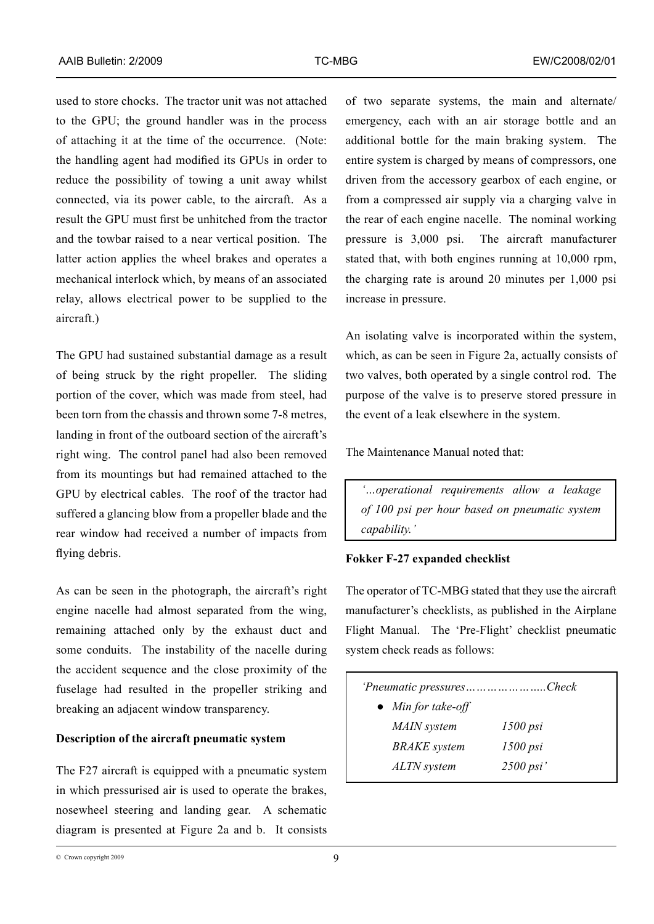used to store chocks. The tractor unit was not attached to the GPU; the ground handler was in the process of attaching it at the time of the occurrence. (Note: the handling agent had modified its GPUs in order to reduce the possibility of towing a unit away whilst connected, via its power cable, to the aircraft. As a result the GPU must first be unhitched from the tractor and the towbar raised to a near vertical position. The latter action applies the wheel brakes and operates a mechanical interlock which, by means of an associated relay, allows electrical power to be supplied to the aircraft.)

The GPU had sustained substantial damage as a result of being struck by the right propeller. The sliding portion of the cover, which was made from steel, had been torn from the chassis and thrown some 7-8 metres, landing in front of the outboard section of the aircraft's right wing. The control panel had also been removed from its mountings but had remained attached to the GPU by electrical cables. The roof of the tractor had suffered a glancing blow from a propeller blade and the rear window had received a number of impacts from flying debris.

As can be seen in the photograph, the aircraft's right engine nacelle had almost separated from the wing, remaining attached only by the exhaust duct and some conduits. The instability of the nacelle during the accident sequence and the close proximity of the fuselage had resulted in the propeller striking and breaking an adjacent window transparency.

# **Description of the aircraft pneumatic system**

The F27 aircraft is equipped with a pneumatic system in which pressurised air is used to operate the brakes, nosewheel steering and landing gear. A schematic diagram is presented at Figure 2a and b. It consists

of two separate systems, the main and alternate/ emergency, each with an air storage bottle and an additional bottle for the main braking system. The entire system is charged by means of compressors, one driven from the accessory gearbox of each engine, or from a compressed air supply via a charging valve in the rear of each engine nacelle. The nominal working pressure is 3,000 psi. The aircraft manufacturer stated that, with both engines running at 10,000 rpm, the charging rate is around 20 minutes per 1,000 psi increase in pressure.

An isolating valve is incorporated within the system, which, as can be seen in Figure 2a, actually consists of two valves, both operated by a single control rod. The purpose of the valve is to preserve stored pressure in the event of a leak elsewhere in the system.

The Maintenance Manual noted that:

*'…operational requirements allow a leakage of 100 psi per hour based on pneumatic system capability.'* 

## **Fokker F-27 expanded checklist**

The operator of TC-MBG stated that they use the aircraft manufacturer's checklists, as published in the Airplane Flight Manual. The 'Pre-Flight' checklist pneumatic system check reads as follows:

| 'Pneumatic pressuresCheck  |             |
|----------------------------|-------------|
| $\bullet$ Min for take-off |             |
| MAIN system                | $1500$ psi  |
| <b>BRAKE</b> system        | $1500$ psi  |
| ALTN system                | $2500$ psi' |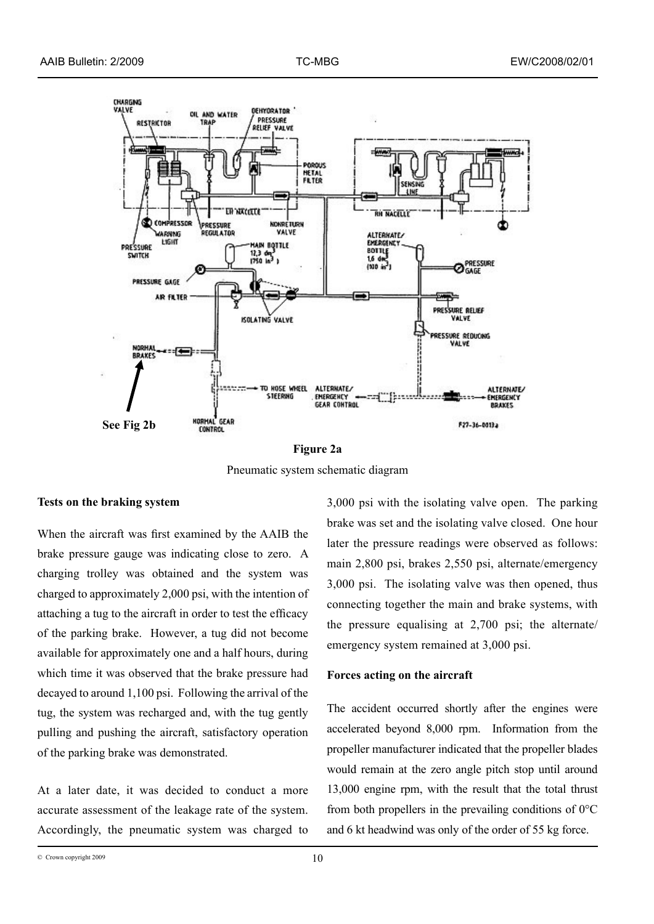

**Figure 2a** Pneumatic system schematic diagram

## **Tests on the braking system**

When the aircraft was first examined by the AAIB the brake pressure gauge was indicating close to zero. A charging trolley was obtained and the system was charged to approximately 2,000 psi, with the intention of attaching a tug to the aircraft in order to test the efficacy of the parking brake. However, a tug did not become available for approximately one and a half hours, during which time it was observed that the brake pressure had decayed to around 1,100 psi. Following the arrival of the tug, the system was recharged and, with the tug gently pulling and pushing the aircraft, satisfactory operation of the parking brake was demonstrated.

At a later date, it was decided to conduct a more accurate assessment of the leakage rate of the system. Accordingly, the pneumatic system was charged to

3,000 psi with the isolating valve open. The parking brake was set and the isolating valve closed. One hour later the pressure readings were observed as follows: main 2,800 psi, brakes 2,550 psi, alternate/emergency 3,000 psi. The isolating valve was then opened, thus connecting together the main and brake systems, with the pressure equalising at 2,700 psi; the alternate/ emergency system remained at 3,000 psi.

### **Forces acting on the aircraft**

The accident occurred shortly after the engines were accelerated beyond 8,000 rpm. Information from the propeller manufacturer indicated that the propeller blades would remain at the zero angle pitch stop until around 13,000 engine rpm, with the result that the total thrust from both propellers in the prevailing conditions of 0°C and 6 kt headwind was only of the order of 55 kg force.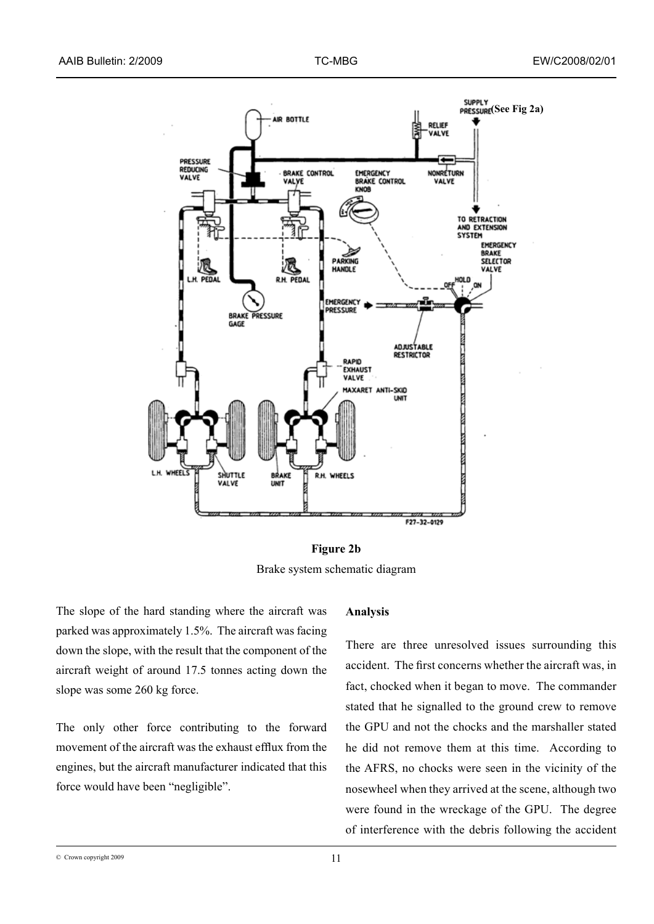



The slope of the hard standing where the aircraft was parked was approximately 1.5%. The aircraft was facing down the slope, with the result that the component of the aircraft weight of around 17.5 tonnes acting down the slope was some 260 kg force.

The only other force contributing to the forward movement of the aircraft was the exhaust efflux from the engines, but the aircraft manufacturer indicated that this force would have been "negligible".

### **Analysis**

There are three unresolved issues surrounding this accident. The first concerns whether the aircraft was, in fact, chocked when it began to move. The commander stated that he signalled to the ground crew to remove the GPU and not the chocks and the marshaller stated he did not remove them at this time. According to the AFRS, no chocks were seen in the vicinity of the nosewheel when they arrived at the scene, although two were found in the wreckage of the GPU. The degree of interference with the debris following the accident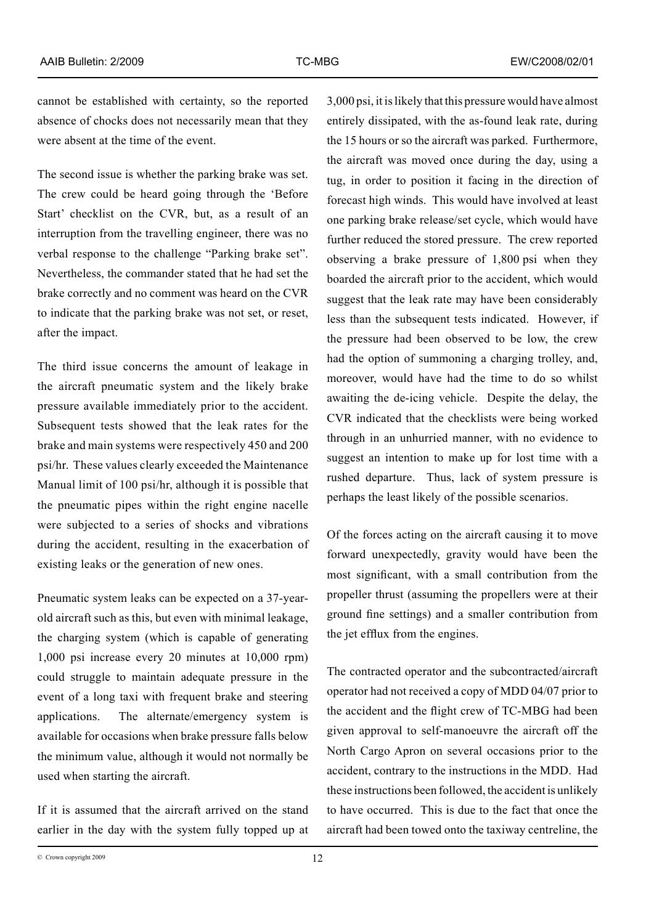cannot be established with certainty, so the reported absence of chocks does not necessarily mean that they were absent at the time of the event.

The second issue is whether the parking brake was set. The crew could be heard going through the 'Before Start' checklist on the CVR, but, as a result of an interruption from the travelling engineer, there was no verbal response to the challenge "Parking brake set". Nevertheless, the commander stated that he had set the brake correctly and no comment was heard on the CVR to indicate that the parking brake was not set, or reset, after the impact.

The third issue concerns the amount of leakage in the aircraft pneumatic system and the likely brake pressure available immediately prior to the accident. Subsequent tests showed that the leak rates for the brake and main systems were respectively 450 and 200 psi/hr. These values clearly exceeded the Maintenance Manual limit of 100 psi/hr, although it is possible that the pneumatic pipes within the right engine nacelle were subjected to a series of shocks and vibrations during the accident, resulting in the exacerbation of existing leaks or the generation of new ones.

Pneumatic system leaks can be expected on a 37-yearold aircraft such as this, but even with minimal leakage, the charging system (which is capable of generating 1,000 psi increase every 20 minutes at 10,000 rpm) could struggle to maintain adequate pressure in the event of a long taxi with frequent brake and steering applications. The alternate/emergency system is available for occasions when brake pressure falls below the minimum value, although it would not normally be used when starting the aircraft.

If it is assumed that the aircraft arrived on the stand earlier in the day with the system fully topped up at

3,000 psi, it is likely that this pressure would have almost entirely dissipated, with the as-found leak rate, during the 15 hours or so the aircraft was parked. Furthermore, the aircraft was moved once during the day, using a tug, in order to position it facing in the direction of forecast high winds. This would have involved at least one parking brake release/set cycle, which would have further reduced the stored pressure. The crew reported observing a brake pressure of 1,800 psi when they boarded the aircraft prior to the accident, which would suggest that the leak rate may have been considerably less than the subsequent tests indicated. However, if the pressure had been observed to be low, the crew had the option of summoning a charging trolley, and, moreover, would have had the time to do so whilst awaiting the de-icing vehicle. Despite the delay, the CVR indicated that the checklists were being worked through in an unhurried manner, with no evidence to suggest an intention to make up for lost time with a rushed departure. Thus, lack of system pressure is perhaps the least likely of the possible scenarios.

Of the forces acting on the aircraft causing it to move forward unexpectedly, gravity would have been the most significant, with a small contribution from the propeller thrust (assuming the propellers were at their ground fine settings) and a smaller contribution from the jet efflux from the engines.

The contracted operator and the subcontracted/aircraft operator had not received a copy of MDD 04/07 prior to the accident and the flight crew of TC-MBG had been given approval to self-manoeuvre the aircraft off the North Cargo Apron on several occasions prior to the accident, contrary to the instructions in the MDD. Had these instructions been followed, the accident is unlikely to have occurred. This is due to the fact that once the aircraft had been towed onto the taxiway centreline, the